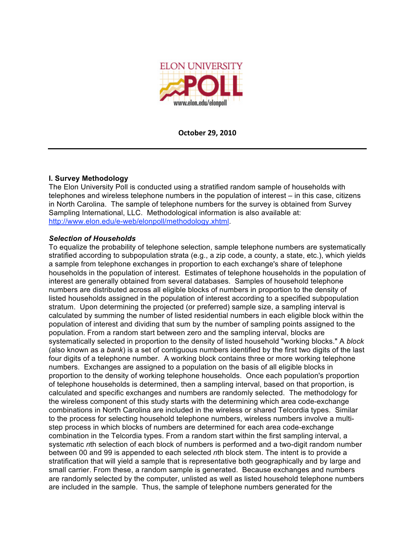

**October
29,
2010**

## **I. Survey Methodology**

The Elon University Poll is conducted using a stratified random sample of households with telephones and wireless telephone numbers in the population of interest – in this case, citizens in North Carolina. The sample of telephone numbers for the survey is obtained from Survey Sampling International, LLC. Methodological information is also available at: http://www.elon.edu/e-web/elonpoll/methodology.xhtml.

### *Selection of Households*

To equalize the probability of telephone selection, sample telephone numbers are systematically stratified according to subpopulation strata (e.g., a zip code, a county, a state, etc.), which yields a sample from telephone exchanges in proportion to each exchange's share of telephone households in the population of interest. Estimates of telephone households in the population of interest are generally obtained from several databases. Samples of household telephone numbers are distributed across all eligible blocks of numbers in proportion to the density of listed households assigned in the population of interest according to a specified subpopulation stratum. Upon determining the projected (or preferred) sample size, a sampling interval is calculated by summing the number of listed residential numbers in each eligible block within the population of interest and dividing that sum by the number of sampling points assigned to the population. From a random start between zero and the sampling interval, blocks are systematically selected in proportion to the density of listed household "working blocks." A *block* (also known as a *bank*) is a set of contiguous numbers identified by the first two digits of the last four digits of a telephone number. A working block contains three or more working telephone numbers. Exchanges are assigned to a population on the basis of all eligible blocks in proportion to the density of working telephone households. Once each population's proportion of telephone households is determined, then a sampling interval, based on that proportion, is calculated and specific exchanges and numbers are randomly selected. The methodology for the wireless component of this study starts with the determining which area code-exchange combinations in North Carolina are included in the wireless or shared Telcordia types. Similar to the process for selecting household telephone numbers, wireless numbers involve a multistep process in which blocks of numbers are determined for each area code-exchange combination in the Telcordia types. From a random start within the first sampling interval, a systematic *n*th selection of each block of numbers is performed and a two-digit random number between 00 and 99 is appended to each selected *n*th block stem. The intent is to provide a stratification that will yield a sample that is representative both geographically and by large and small carrier. From these, a random sample is generated. Because exchanges and numbers are randomly selected by the computer, unlisted as well as listed household telephone numbers are included in the sample. Thus, the sample of telephone numbers generated for the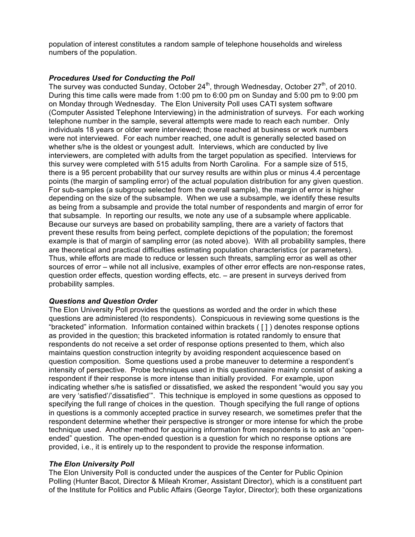population of interest constitutes a random sample of telephone households and wireless numbers of the population.

## *Procedures Used for Conducting the Poll*

The survey was conducted Sunday, October 24<sup>th</sup>, through Wednesday, October 27<sup>th</sup>, of 2010. During this time calls were made from 1:00 pm to 6:00 pm on Sunday and 5:00 pm to 9:00 pm on Monday through Wednesday. The Elon University Poll uses CATI system software (Computer Assisted Telephone Interviewing) in the administration of surveys. For each working telephone number in the sample, several attempts were made to reach each number. Only individuals 18 years or older were interviewed; those reached at business or work numbers were not interviewed. For each number reached, one adult is generally selected based on whether s/he is the oldest or youngest adult. Interviews, which are conducted by live interviewers, are completed with adults from the target population as specified. Interviews for this survey were completed with 515 adults from North Carolina. For a sample size of 515, there is a 95 percent probability that our survey results are within plus or minus 4.4 percentage points (the margin of sampling error) of the actual population distribution for any given question. For sub-samples (a subgroup selected from the overall sample), the margin of error is higher depending on the size of the subsample. When we use a subsample, we identify these results as being from a subsample and provide the total number of respondents and margin of error for that subsample. In reporting our results, we note any use of a subsample where applicable. Because our surveys are based on probability sampling, there are a variety of factors that prevent these results from being perfect, complete depictions of the population; the foremost example is that of margin of sampling error (as noted above). With all probability samples, there are theoretical and practical difficulties estimating population characteristics (or parameters). Thus, while efforts are made to reduce or lessen such threats, sampling error as well as other sources of error – while not all inclusive, examples of other error effects are non-response rates, question order effects, question wording effects, etc. – are present in surveys derived from probability samples.

## *Questions and Question Order*

The Elon University Poll provides the questions as worded and the order in which these questions are administered (to respondents). Conspicuous in reviewing some questions is the "bracketed" information. Information contained within brackets ( [ ] ) denotes response options as provided in the question; this bracketed information is rotated randomly to ensure that respondents do not receive a set order of response options presented to them, which also maintains question construction integrity by avoiding respondent acquiescence based on question composition. Some questions used a probe maneuver to determine a respondent's intensity of perspective. Probe techniques used in this questionnaire mainly consist of asking a respondent if their response is more intense than initially provided. For example, upon indicating whether s/he is satisfied or dissatisfied, we asked the respondent "would you say you are very 'satisfied'/'dissatisfied'". This technique is employed in some questions as opposed to specifying the full range of choices in the question. Though specifying the full range of options in questions is a commonly accepted practice in survey research, we sometimes prefer that the respondent determine whether their perspective is stronger or more intense for which the probe technique used. Another method for acquiring information from respondents is to ask an "openended" question. The open-ended question is a question for which no response options are provided, i.e., it is entirely up to the respondent to provide the response information.

### *The Elon University Poll*

The Elon University Poll is conducted under the auspices of the Center for Public Opinion Polling (Hunter Bacot, Director & Mileah Kromer, Assistant Director), which is a constituent part of the Institute for Politics and Public Affairs (George Taylor, Director); both these organizations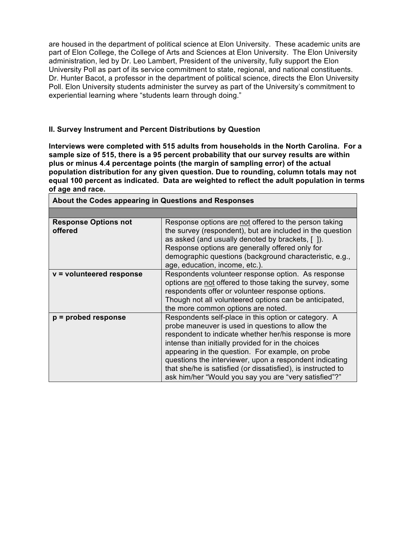are housed in the department of political science at Elon University. These academic units are part of Elon College, the College of Arts and Sciences at Elon University. The Elon University administration, led by Dr. Leo Lambert, President of the university, fully support the Elon University Poll as part of its service commitment to state, regional, and national constituents. Dr. Hunter Bacot, a professor in the department of political science, directs the Elon University Poll. Elon University students administer the survey as part of the University's commitment to experiential learning where "students learn through doing."

## **II. Survey Instrument and Percent Distributions by Question**

**Interviews were completed with 515 adults from households in the North Carolina. For a sample size of 515, there is a 95 percent probability that our survey results are within plus or minus 4.4 percentage points (the margin of sampling error) of the actual population distribution for any given question. Due to rounding, column totals may not equal 100 percent as indicated. Data are weighted to reflect the adult population in terms of age and race.**

| About the Codes appearing in Questions and Responses |                                                                                                                                                                                                                                                                                                                                                                                                                                                                   |  |
|------------------------------------------------------|-------------------------------------------------------------------------------------------------------------------------------------------------------------------------------------------------------------------------------------------------------------------------------------------------------------------------------------------------------------------------------------------------------------------------------------------------------------------|--|
|                                                      |                                                                                                                                                                                                                                                                                                                                                                                                                                                                   |  |
| <b>Response Options not</b><br>offered               | Response options are not offered to the person taking<br>the survey (respondent), but are included in the question<br>as asked (and usually denoted by brackets, [1].<br>Response options are generally offered only for<br>demographic questions (background characteristic, e.g.,<br>age, education, income, etc.).                                                                                                                                             |  |
| v = volunteered response                             | Respondents volunteer response option. As response<br>options are not offered to those taking the survey, some<br>respondents offer or volunteer response options.<br>Though not all volunteered options can be anticipated,<br>the more common options are noted.                                                                                                                                                                                                |  |
| $p =$ probed response                                | Respondents self-place in this option or category. A<br>probe maneuver is used in questions to allow the<br>respondent to indicate whether her/his response is more<br>intense than initially provided for in the choices<br>appearing in the question. For example, on probe<br>questions the interviewer, upon a respondent indicating<br>that she/he is satisfied (or dissatisfied), is instructed to<br>ask him/her "Would you say you are "very satisfied"?" |  |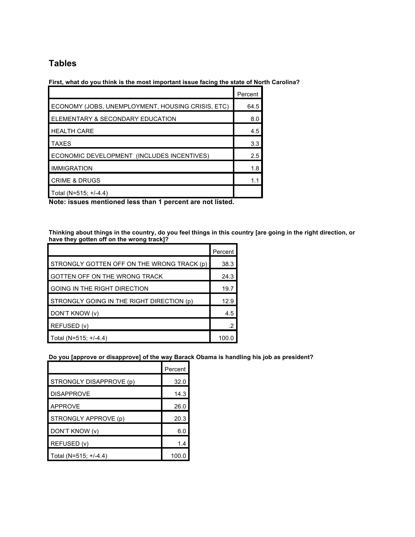# **Tables**

### **First, what do you think is the most important issue facing the state of North Carolina?**

|                                                   | Percent |
|---------------------------------------------------|---------|
| ECONOMY (JOBS, UNEMPLOYMENT, HOUSING CRISIS, ETC) | 64.5    |
| ELEMENTARY & SECONDARY EDUCATION                  | 8.0     |
| <b>HEALTH CARE</b>                                | 4.5     |
| <b>TAXES</b>                                      | 3.3     |
| ECONOMIC DEVELOPMENT (INCLUDES INCENTIVES)        | 2.5     |
| <b>IMMIGRATION</b>                                | 1.8     |
| <b>CRIME &amp; DRUGS</b>                          |         |
| Total (N=515; +/-4.4)                             |         |

**Note: issues mentioned less than 1 percent are not listed.**

Thinking about things in the country, do you feel things in this country [are going in the right direction, or **have they gotten off on the wrong track]?**

|                                            | Percent |
|--------------------------------------------|---------|
| STRONGLY GOTTEN OFF ON THE WRONG TRACK (p) | 38.3    |
| GOTTEN OFF ON THE WRONG TRACK              | 24.3    |
| <b>GOING IN THE RIGHT DIRECTION</b>        | 19.7    |
| STRONGLY GOING IN THE RIGHT DIRECTION (p)  | 12.9    |
| DON'T KNOW (v)                             | 4.5     |
| REFUSED (v)                                | .2      |
| Total (N=515; $+/-4.4$ )                   | 100     |

**Do you [approve or disapprove] of the way Barack Obama is handling his job as president?**

|                         | Percent |
|-------------------------|---------|
| STRONGLY DISAPPROVE (p) | 32.0    |
| <b>DISAPPROVE</b>       | 14.3    |
| <b>APPROVE</b>          | 26.0    |
| STRONGLY APPROVE (p)    | 20.3    |
| DON'T KNOW (v)          | 6.0     |
| REFUSED (v)             | 1.4     |
| Total (N=515; +/-4.4)   | 100.0   |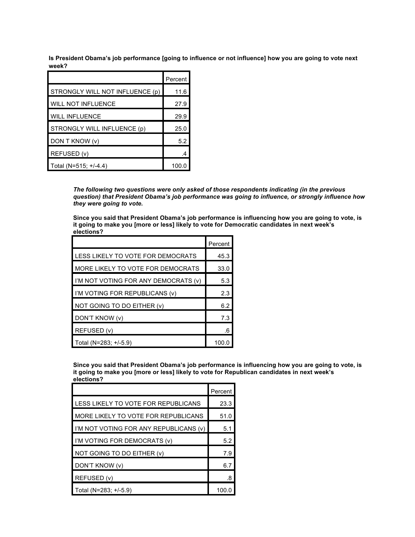Is President Obama's job performance [going to influence or not influence] how you are going to vote next **week?**

|                                 | Percent |
|---------------------------------|---------|
| STRONGLY WILL NOT INFLUENCE (p) | 11.6    |
| <b>WILL NOT INFLUENCE</b>       | 27.9    |
| <b>WILL INFLUENCE</b>           | 29.9    |
| STRONGLY WILL INFLUENCE (p)     | 25.0    |
| DON T KNOW (v)                  | 5.2     |
| REFUSED (v)                     |         |
| Total (N=515; +/-4.4)           | 100.0   |

*The following two questions were only asked of those respondents indicating (in the previous question) that President Obama's job performance was going to influence, or strongly influence how they were going to vote.*

**Since you said that President Obama's job performance is influencing how you are going to vote, is it going to make you [more or less] likely to vote for Democratic candidates in next week's elections?**

|                                      | Percent |
|--------------------------------------|---------|
| LESS LIKELY TO VOTE FOR DEMOCRATS    | 45.3    |
| MORE LIKELY TO VOTE FOR DEMOCRATS    | 33.0    |
| I'M NOT VOTING FOR ANY DEMOCRATS (v) | 5.3     |
| I'M VOTING FOR REPUBLICANS (v)       | 2.3     |
| NOT GOING TO DO EITHER (v)           | 6.2     |
| DON'T KNOW (v)                       | 7.3     |
| REFUSED (v)                          | .6      |
| Total (N=283; +/-5.9)                | 100.0   |

**Since you said that President Obama's job performance is influencing how you are going to vote, is it going to make you [more or less] likely to vote for Republican candidates in next week's elections?**

|                                        | Percent |
|----------------------------------------|---------|
| LESS LIKELY TO VOTE FOR REPUBLICANS    | 23.3    |
| MORE LIKELY TO VOTE FOR REPUBLICANS    | 51.0    |
| I'M NOT VOTING FOR ANY REPUBLICANS (v) | 5.1     |
| I'M VOTING FOR DEMOCRATS (v)           | 5.2     |
| NOT GOING TO DO EITHER (v)             | 7.9     |
| DON'T KNOW (v)                         | 6.7     |
| REFUSED (v)                            | .8      |
| Total (N=283; +/-5.9)                  | 100.0   |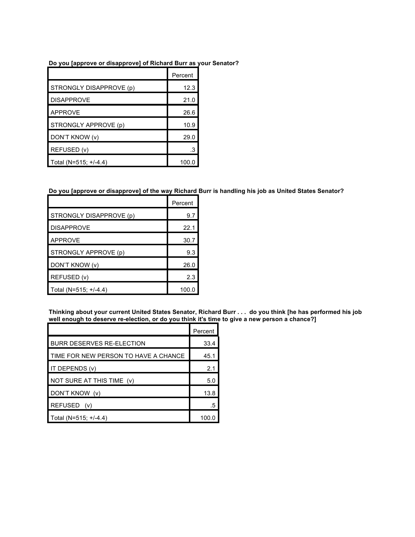### **Do you [approve or disapprove] of Richard Burr as your Senator?**

|                         | Percent |
|-------------------------|---------|
| STRONGLY DISAPPROVE (p) | 12.3    |
| <b>DISAPPROVE</b>       | 21.0    |
| <b>APPROVE</b>          | 26.6    |
| STRONGLY APPROVE (p)    | 10.9    |
| DON'T KNOW (v)          | 29.0    |
| REFUSED (v)             | .3      |
| Total (N=515; +/-4.4)   | 100.0   |

### Do you [approve or disapprove] of the way Richard Burr is handling his job as United States Senator?

|                         | Percent |
|-------------------------|---------|
| STRONGLY DISAPPROVE (p) | 9.7     |
| <b>DISAPPROVE</b>       | 22.1    |
| <b>APPROVE</b>          | 30.7    |
| STRONGLY APPROVE (p)    | 9.3     |
| DON'T KNOW (v)          | 26.0    |
| REFUSED (v)             | 2.3     |
| Total (N=515; +/-4.4)   | 100.0   |

Thinking about your current United States Senator, Richard Burr . . . do you think [he has performed his job **well enough to deserve re-election, or do you think it's time to give a new person a chance?]**

|                                      | Percent |
|--------------------------------------|---------|
| <b>BURR DESERVES RE-ELECTION</b>     | 33.4    |
| TIME FOR NEW PERSON TO HAVE A CHANCE | 45.1    |
| IT DEPENDS (v)                       | 2.1     |
| NOT SURE AT THIS TIME (v)            | 5.0     |
| DON'T KNOW (v)                       | 13.8    |
| REFUSED (v)                          | .5      |
| Total (N=515; +/-4.4)                | 100.0   |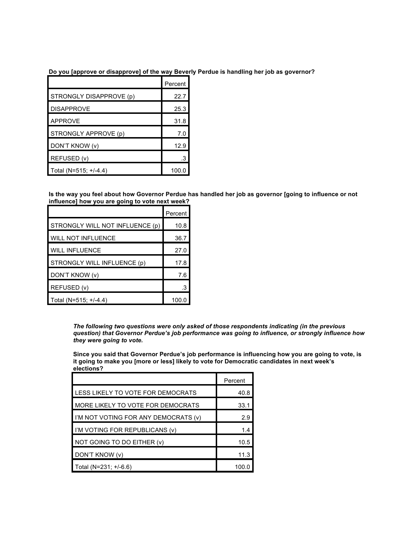**Do you [approve or disapprove] of the way Beverly Perdue is handling her job as governor?**

|                         | Percent |
|-------------------------|---------|
| STRONGLY DISAPPROVE (p) | 22.7    |
| <b>DISAPPROVE</b>       | 25.3    |
| <b>APPROVE</b>          | 31.8    |
| STRONGLY APPROVE (p)    | 7.0     |
| DON'T KNOW (v)          | 12.9    |
| REFUSED (v)             | .3      |
| Total (N=515; +/-4.4)   | 100.0   |

Is the way you feel about how Governor Perdue has handled her job as governor [going to influence or not **influence] how you are going to vote next week?**

|                                 | Percent |
|---------------------------------|---------|
| STRONGLY WILL NOT INFLUENCE (p) | 10.8    |
| <b>WILL NOT INFLUENCE</b>       | 36.7    |
| <b>WILL INFLUENCE</b>           | 27.0    |
| STRONGLY WILL INFLUENCE (p)     | 17.8    |
| DON'T KNOW (v)                  | 7.6     |
| REFUSED (v)                     | .3      |
| Total (N=515; +/-4.4)           | 100.0   |

*The following two questions were only asked of those respondents indicating (in the previous question) that Governor Perdue's job performance was going to influence, or strongly influence how they were going to vote.*

**Since you said that Governor Perdue's job performance is influencing how you are going to vote, is it going to make you [more or less] likely to vote for Democratic candidates in next week's elections?**

|                                      | Percent |
|--------------------------------------|---------|
| LESS LIKELY TO VOTE FOR DEMOCRATS    | 40.8    |
| MORE LIKELY TO VOTE FOR DEMOCRATS    | 33.1    |
| I'M NOT VOTING FOR ANY DEMOCRATS (v) | 2.9     |
| I'M VOTING FOR REPUBLICANS (v)       | 1.4     |
| NOT GOING TO DO EITHER (v)           | 10.5    |
| DON'T KNOW (v)                       | 11.3    |
| Total (N=231; +/-6.6)                | 100.0   |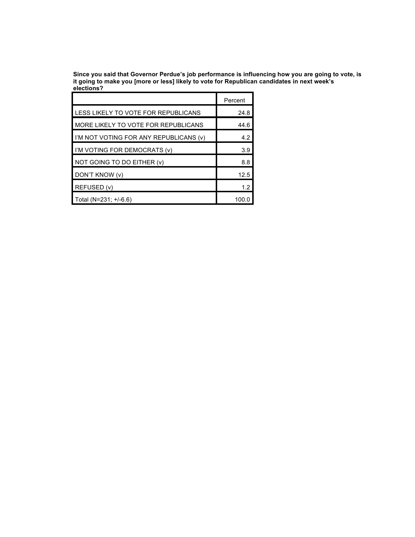**Since you said that Governor Perdue's job performance is influencing how you are going to vote, is it going to make you [more or less] likely to vote for Republican candidates in next week's elections?**

|                                        | Percent |
|----------------------------------------|---------|
| LESS LIKELY TO VOTE FOR REPUBLICANS    | 24.8    |
| MORE LIKELY TO VOTE FOR REPUBLICANS    | 44.6    |
| I'M NOT VOTING FOR ANY REPUBLICANS (v) | 4.2     |
| I I'M VOTING FOR DEMOCRATS (v)         | 3.9     |
| NOT GOING TO DO EITHER (v)             | 8.8     |
| DON'T KNOW (v)                         | 12.5    |
| REFUSED (v)                            | 1.2     |
| Total (N=231; +/-6.6)                  | 100.0   |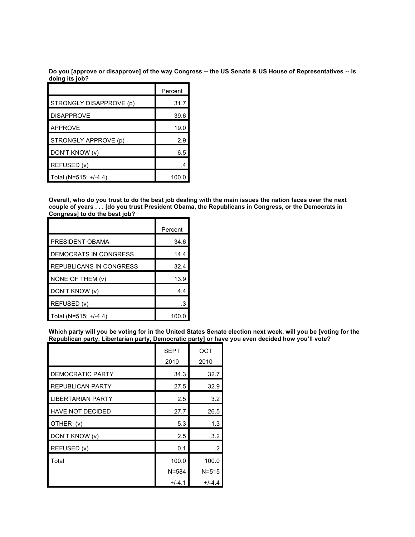Do you [approve or disapprove] of the way Congress -- the US Senate & US House of Representatives -- is **doing its job?**

|                         | Percent |
|-------------------------|---------|
| STRONGLY DISAPPROVE (p) | 31.7    |
| <b>DISAPPROVE</b>       | 39.6    |
| <b>APPROVE</b>          | 19.0    |
| STRONGLY APPROVE (p)    | 2.9     |
| DON'T KNOW (v)          | 6.5     |
| REFUSED (v)             | 4       |
| Total (N=515; +/-4.4)   | 100.0   |

Overall, who do you trust to do the best job dealing with the main issues the nation faces over the next couple of years . . . [do you trust President Obama, the Republicans in Congress, or the Democrats in **Congress] to do the best job?**

|                         | Percent |
|-------------------------|---------|
| PRESIDENT OBAMA         | 34.6    |
| DEMOCRATS IN CONGRESS   | 14.4    |
| REPUBLICANS IN CONGRESS | 32.4    |
| NONE OF THEM (v)        | 13.9    |
| DON'T KNOW (v)          | 4.4     |
| REFUSED (v)             | .3      |
| Total (N=515; +/-4.4)   | 100.0   |

Which party will you be voting for in the United States Senate election next week, will you be [voting for the **Republican party, Libertarian party, Democratic party] or have you even decided how you'll vote?**

|                         | <b>SEPT</b><br>2010 | OCT<br>2010 |
|-------------------------|---------------------|-------------|
| <b>DEMOCRATIC PARTY</b> | 34.3                | 32.7        |
| <b>REPUBLICAN PARTY</b> | 27.5                | 32.9        |
| <b>IBERTARIAN PARTY</b> | 2.5                 | 3.2         |
| <b>HAVE NOT DECIDED</b> | 27.7                | 26.5        |
| OTHER (v)               | 5.3                 | 1.3         |
| DON'T KNOW (v)          | 2.5                 | 3.2         |
| REFUSED (v)             | 0.1                 | .2          |
| Total                   | 100.0               | 100.0       |
|                         | $N = 584$           | $N = 515$   |
|                         | $+/-4.1$            | $+/-4.4$    |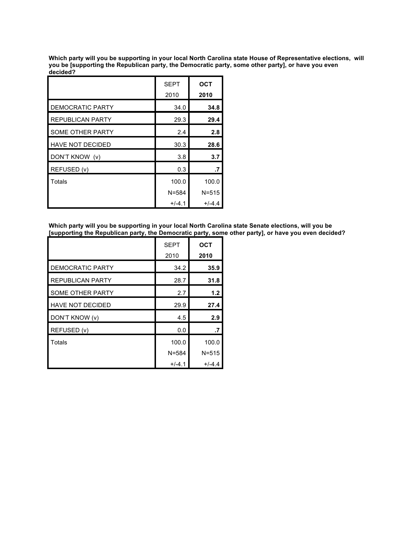Which party will you be supporting in your local North Carolina state House of Representative elections, will **you be [supporting the Republican party, the Democratic party, some other party], or have you even decided?**

|                         | <b>SEPT</b> | <b>OCT</b> |
|-------------------------|-------------|------------|
|                         | 2010        | 2010       |
| <b>DEMOCRATIC PARTY</b> | 34.0        | 34.8       |
| <b>REPUBLICAN PARTY</b> | 29.3        | 29.4       |
| SOME OTHER PARTY        | 2.4         | 2.8        |
| <b>HAVE NOT DECIDED</b> | 30.3        | 28.6       |
| DON'T KNOW (v)          | 3.8         | 3.7        |
| REFUSED (v)             | 0.3         | .7         |
| Totals                  | 100.0       | 100.0      |
|                         | $N = 584$   | $N = 515$  |
|                         | $+/-4.1$    | $+/-4.4$   |

**Which party will you be supporting in your local North Carolina state Senate elections, will you be [supporting the Republican party, the Democratic party, some other party], or have you even decided?**

|                         | <b>SEPT</b> | <b>OCT</b> |
|-------------------------|-------------|------------|
|                         | 2010        | 2010       |
| DEMOCRATIC PARTY        | 34.2        | 35.9       |
| <b>REPUBLICAN PARTY</b> | 28.7        | 31.8       |
| <b>SOME OTHER PARTY</b> | 2.7         | 1.2        |
| <b>HAVE NOT DECIDED</b> | 29.9        | 27.4       |
| DON'T KNOW (v)          | 4.5         | 2.9        |
| REFUSED (v)             | 0.0         | .7         |
| Totals                  | 100.0       | 100.0      |
|                         | $N = 584$   | $N = 515$  |
|                         | $+/-4.1$    | $+/-4.4$   |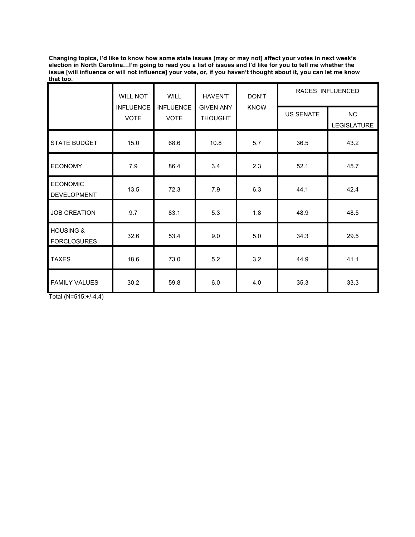Changing topics, I'd like to know how some state issues [may or may not] affect your votes in next week's election in North Carolina…I'm going to read you a list of issues and I'd like for you to tell me whether the issue [will influence or will not influence] your vote, or, if you haven't thought about it, you can let me know **that too.**

|                                            | <b>WILL NOT</b>                 | <b>WILL</b>                     | DON'T<br><b>HAVEN'T</b>            |             | RACES INFLUENCED |                   |
|--------------------------------------------|---------------------------------|---------------------------------|------------------------------------|-------------|------------------|-------------------|
|                                            | <b>INFLUENCE</b><br><b>VOTE</b> | <b>INFLUENCE</b><br><b>VOTE</b> | <b>GIVEN ANY</b><br><b>THOUGHT</b> | <b>KNOW</b> | <b>US SENATE</b> | NC<br>LEGISLATURE |
| <b>STATE BUDGET</b>                        | 15.0                            | 68.6                            | 10.8                               | 5.7         | 36.5             | 43.2              |
| <b>ECONOMY</b>                             | 7.9                             | 86.4                            | 3.4                                | 2.3         | 52.1             | 45.7              |
| <b>ECONOMIC</b><br>DEVELOPMENT             | 13.5                            | 72.3                            | 7.9                                | 6.3         | 44.1             | 42.4              |
| <b>JOB CREATION</b>                        | 9.7                             | 83.1                            | 5.3                                | 1.8         | 48.9             | 48.5              |
| <b>HOUSING &amp;</b><br><b>FORCLOSURES</b> | 32.6                            | 53.4                            | 9.0                                | 5.0         | 34.3             | 29.5              |
| <b>TAXES</b>                               | 18.6                            | 73.0                            | 5.2                                | 3.2         | 44.9             | 41.1              |
| <b>FAMILY VALUES</b>                       | 30.2                            | 59.8                            | 6.0                                | 4.0         | 35.3             | 33.3              |

Total (N=515;+/-4.4)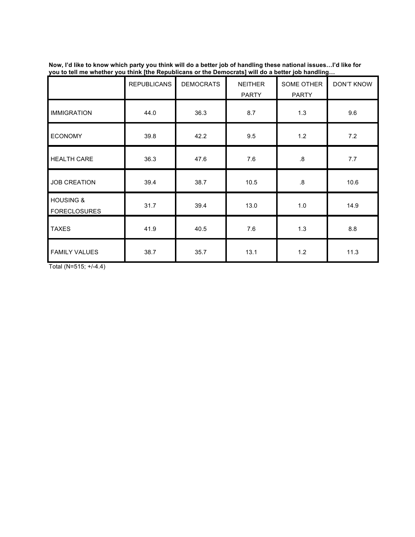|                                             | <b>REPUBLICANS</b> | <b>DEMOCRATS</b> | <b>NEITHER</b><br><b>PARTY</b> | SOME OTHER<br><b>PARTY</b> | <b>DON'T KNOW</b> |
|---------------------------------------------|--------------------|------------------|--------------------------------|----------------------------|-------------------|
| <b>IMMIGRATION</b>                          | 44.0               | 36.3             | 8.7                            | 1.3                        | 9.6               |
| <b>ECONOMY</b>                              | 39.8               | 42.2             | 9.5                            | 1.2                        | 7.2               |
| <b>HEALTH CARE</b>                          | 36.3               | 47.6             | 7.6                            | $\boldsymbol{.8}$          | 7.7               |
| <b>JOB CREATION</b>                         | 39.4               | 38.7             | 10.5                           | $\boldsymbol{.8}$          | 10.6              |
| <b>HOUSING &amp;</b><br><b>FORECLOSURES</b> | 31.7               | 39.4             | 13.0                           | 1.0                        | 14.9              |
| <b>TAXES</b>                                | 41.9               | 40.5             | 7.6                            | 1.3                        | 8.8               |
| <b>FAMILY VALUES</b>                        | 38.7               | 35.7             | 13.1                           | 1.2                        | 11.3              |

Now, I'd like to know which party you think will do a better job of handling these national issues…I'd like for **you to tell me whether you think [the Republicans or the Democrats] will do a better job handling…**

Total (N=515; +/-4.4)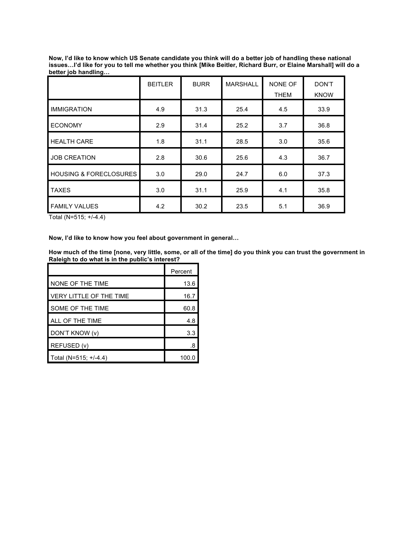| Now, I'd like to know which US Senate candidate you think will do a better job of handling these national      |
|----------------------------------------------------------------------------------------------------------------|
| issuesI'd like for you to tell me whether you think [Mike Beitler, Richard Burr, or Elaine Marshall] will do a |
| better job handling                                                                                            |

|                                   | <b>BEITLER</b> | <b>BURR</b> | <b>MARSHALL</b> | <b>NONE OF</b> | <b>DON'T</b> |
|-----------------------------------|----------------|-------------|-----------------|----------------|--------------|
|                                   |                |             |                 | <b>THEM</b>    | <b>KNOW</b>  |
| <b>IMMIGRATION</b>                | 4.9            | 31.3        | 25.4            | 4.5            | 33.9         |
| <b>ECONOMY</b>                    | 2.9            | 31.4        | 25.2            | 3.7            | 36.8         |
| <b>HEALTH CARE</b>                | 1.8            | 31.1        | 28.5            | 3.0            | 35.6         |
| <b>JOB CREATION</b>               | 2.8            | 30.6        | 25.6            | 4.3            | 36.7         |
| <b>HOUSING &amp; FORECLOSURES</b> | 3.0            | 29.0        | 24.7            | 6.0            | 37.3         |
| <b>TAXES</b>                      | 3.0            | 31.1        | 25.9            | 4.1            | 35.8         |
| <b>FAMILY VALUES</b>              | 4.2            | 30.2        | 23.5            | 5.1            | 36.9         |

Total (N=515; +/-4.4)

### **Now, I'd like to know how you feel about government in general…**

How much of the time [none, very little, some, or all of the time] do you think you can trust the government in **Raleigh to do what is in the public's interest?**

|                                | Percent |
|--------------------------------|---------|
| NONE OF THE TIME               | 13.6    |
| <b>VERY LITTLE OF THE TIME</b> | 16.7    |
| SOME OF THE TIME               | 60.8    |
| ALL OF THE TIME                | 4.8     |
| DON'T KNOW (v)                 | 3.3     |
| REFUSED (v)                    | .8      |
| Total (N=515; +/-4.4)          | 100.0   |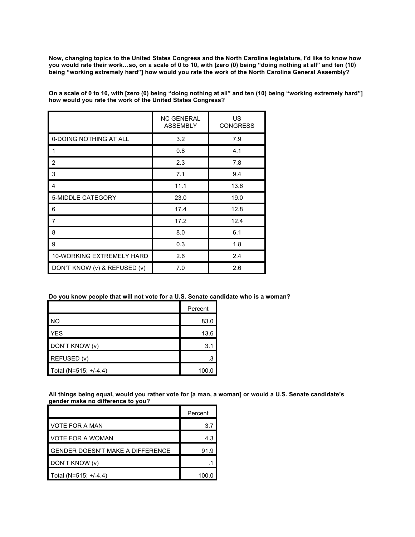Now, changing topics to the United States Congress and the North Carolina legislature, I'd like to know how you would rate their work...so, on a scale of 0 to 10, with [zero (0) being "doing nothing at all" and ten (10) **being "working extremely hard"] how would you rate the work of the North Carolina General Assembly?**

On a scale of 0 to 10, with [zero (0) being "doing nothing at all" and ten (10) being "working extremely hard"] **how would you rate the work of the United States Congress?**

|                              | <b>NC GENERAL</b><br><b>ASSEMBLY</b> | US<br><b>CONGRESS</b> |  |
|------------------------------|--------------------------------------|-----------------------|--|
| 0-DOING NOTHING AT ALL       | 3.2                                  | 7.9                   |  |
|                              | 0.8                                  | 4.1                   |  |
| $\overline{2}$               | 2.3                                  | 7.8                   |  |
| 3                            | 7.1                                  | 9.4                   |  |
| 4                            | 11.1                                 | 13.6                  |  |
| 5-MIDDLE CATEGORY            | 23.0                                 | 19.0                  |  |
| 6                            | 17.4                                 | 12.8                  |  |
| $\overline{7}$               | 17.2                                 | 12.4                  |  |
| 8                            | 8.0                                  | 6.1                   |  |
| 9                            | 0.3                                  | 1.8                   |  |
| 10-WORKING EXTREMELY HARD    | 2.6                                  | 2.4                   |  |
| DON'T KNOW (v) & REFUSED (v) | 7.0                                  | 2.6                   |  |

#### **Do you know people that will not vote for a U.S. Senate candidate who is a woman?**

|                       | Percent |  |
|-----------------------|---------|--|
| I NO                  | 83.0    |  |
| <b>YES</b>            | 13.6    |  |
| DON'T KNOW (v)        | 3.1     |  |
| REFUSED (v)           | .3      |  |
| Total (N=515; +/-4.4) | 100.0   |  |

All things being equal, would you rather vote for [a man, a woman] or would a U.S. Senate candidate's **gender make no difference to you?**

|                                         | Percent |
|-----------------------------------------|---------|
| VOTE FOR A MAN                          | 3.7     |
| VOTE FOR A WOMAN                        | 4.3     |
| <b>GENDER DOESN'T MAKE A DIFFERENCE</b> | 91.9    |
| DON'T KNOW (v)                          |         |
| Total (N=515; +/-4.4)                   |         |